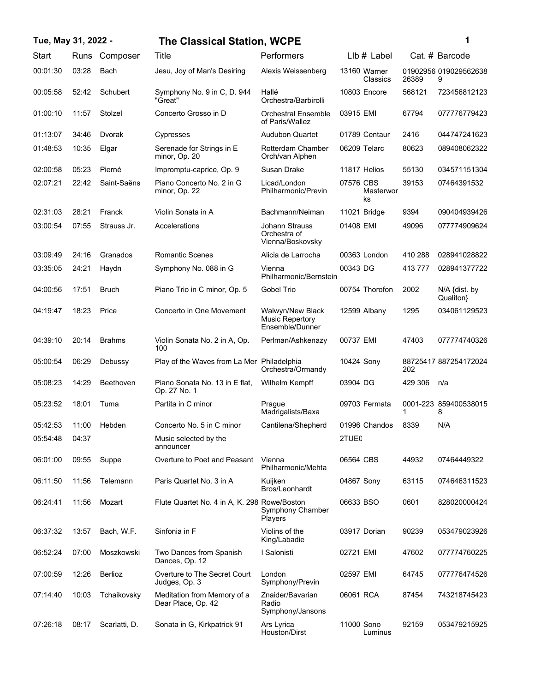## **Tue, May 31, 2022 - 1 The Classical Station, WCPE**

| ï<br>I |  |  |
|--------|--|--|
|        |  |  |

| Start    | Runs  | Composer      | Title                                             | Performers                                                    | LIb # Label       |           |         | Cat. # Barcode              |
|----------|-------|---------------|---------------------------------------------------|---------------------------------------------------------------|-------------------|-----------|---------|-----------------------------|
| 00:01:30 | 03:28 | Bach          | Jesu, Joy of Man's Desiring                       | Alexis Weissenberg                                            | 13160 Warner      | Classics  | 26389   | 01902956 019029562638<br>9  |
| 00:05:58 | 52:42 | Schubert      | Symphony No. 9 in C, D. 944<br>"Great"            | Hallé<br>Orchestra/Barbirolli                                 | 10803 Encore      |           | 568121  | 723456812123                |
| 01:00:10 | 11:57 | Stolzel       | Concerto Grosso in D                              | <b>Orchestral Ensemble</b><br>of Paris/Wallez                 | 03915 EMI         |           | 67794   | 077776779423                |
| 01:13:07 | 34:46 | Dvorak        | Cypresses                                         | <b>Audubon Quartet</b>                                        | 01789 Centaur     |           | 2416    | 044747241623                |
| 01:48:53 | 10:35 | Elgar         | Serenade for Strings in E<br>minor, Op. 20        | Rotterdam Chamber<br>Orch/van Alphen                          | 06209 Telarc      |           | 80623   | 089408062322                |
| 02:00:58 | 05:23 | Pierné        | Impromptu-caprice, Op. 9                          | Susan Drake                                                   | 11817 Helios      |           | 55130   | 034571151304                |
| 02:07:21 | 22:42 | Saint-Saëns   | Piano Concerto No. 2 in G<br>minor, Op. 22        | Licad/London<br>Philharmonic/Previn                           | 07576 CBS<br>ks   | Masterwor | 39153   | 07464391532                 |
| 02:31:03 | 28:21 | Franck        | Violin Sonata in A                                | Bachmann/Neiman                                               | 11021 Bridge      |           | 9394    | 090404939426                |
| 03:00:54 | 07:55 | Strauss Jr.   | Accelerations                                     | Johann Strauss<br>Orchestra of<br>Vienna/Boskovsky            | 01408 EMI         |           | 49096   | 077774909624                |
| 03:09:49 | 24:16 | Granados      | <b>Romantic Scenes</b>                            | Alicia de Larrocha                                            | 00363 London      |           | 410 288 | 028941028822                |
| 03:35:05 | 24:21 | Haydn         | Symphony No. 088 in G                             | Vienna<br>Philharmonic/Bernstein                              | 00343 DG          |           | 413777  | 028941377722                |
| 04:00:56 | 17:51 | <b>Bruch</b>  | Piano Trio in C minor, Op. 5                      | Gobel Trio                                                    | 00754 Thorofon    |           | 2002    | N/A {dist. by<br>Qualiton } |
| 04:19:47 | 18:23 | Price         | Concerto in One Movement                          | Walwyn/New Black<br><b>Music Repertory</b><br>Ensemble/Dunner | 12599 Albany      |           | 1295    | 034061129523                |
| 04:39:10 | 20:14 | <b>Brahms</b> | Violin Sonata No. 2 in A, Op.<br>100              | Perlman/Ashkenazy                                             | 00737 EMI         |           | 47403   | 077774740326                |
| 05:00:54 | 06:29 | Debussy       | Play of the Waves from La Mer                     | Philadelphia<br>Orchestra/Ormandy                             | 10424 Sony        |           | 202     | 88725417 887254172024       |
| 05:08:23 | 14:29 | Beethoven     | Piano Sonata No. 13 in E flat,<br>Op. 27 No. 1    | Wilhelm Kempff                                                | 03904 DG          |           | 429 306 | n/a                         |
| 05:23:52 | 18:01 | Tuma          | Partita in C minor                                | Prague<br>Madrigalists/Baxa                                   | 09703 Fermata     |           | 1       | 0001-223 859400538015<br>8  |
| 05:42:53 | 11:00 | Hebden        | Concerto No. 5 in C minor                         | Cantilena/Shepherd                                            | 01996 Chandos     |           | 8339    | N/A                         |
| 05:54:48 | 04:37 |               | Music selected by the<br>announcer                |                                                               | 2TUE <sub>0</sub> |           |         |                             |
| 06:01:00 | 09:55 | Suppe         | Overture to Poet and Peasant                      | Vienna<br>Philharmonic/Mehta                                  | 06564 CBS         |           | 44932   | 07464449322                 |
| 06:11:50 | 11:56 | Telemann      | Paris Quartet No. 3 in A                          | Kuijken<br>Bros/Leonhardt                                     | 04867 Sony        |           | 63115   | 074646311523                |
| 06:24:41 | 11:56 | Mozart        | Flute Quartet No. 4 in A, K. 298 Rowe/Boston      | Symphony Chamber<br>Players                                   | 06633 BSO         |           | 0601    | 828020000424                |
| 06:37:32 | 13:57 | Bach, W.F.    | Sinfonia in F                                     | Violins of the<br>King/Labadie                                | 03917 Dorian      |           | 90239   | 053479023926                |
| 06:52:24 | 07:00 | Moszkowski    | Two Dances from Spanish<br>Dances, Op. 12         | I Salonisti                                                   | 02721 EMI         |           | 47602   | 077774760225                |
| 07:00:59 | 12:26 | Berlioz       | Overture to The Secret Court<br>Judges, Op. 3     | London<br>Symphony/Previn                                     | 02597 EMI         |           | 64745   | 077776474526                |
| 07:14:40 | 10:03 | Tchaikovsky   | Meditation from Memory of a<br>Dear Place, Op. 42 | Znaider/Bavarian<br>Radio<br>Symphony/Jansons                 | 06061 RCA         |           | 87454   | 743218745423                |
| 07:26:18 | 08:17 | Scarlatti, D. | Sonata in G, Kirkpatrick 91                       | Ars Lyrica<br>Houston/Dirst                                   | 11000 Sono        | Luminus   | 92159   | 053479215925                |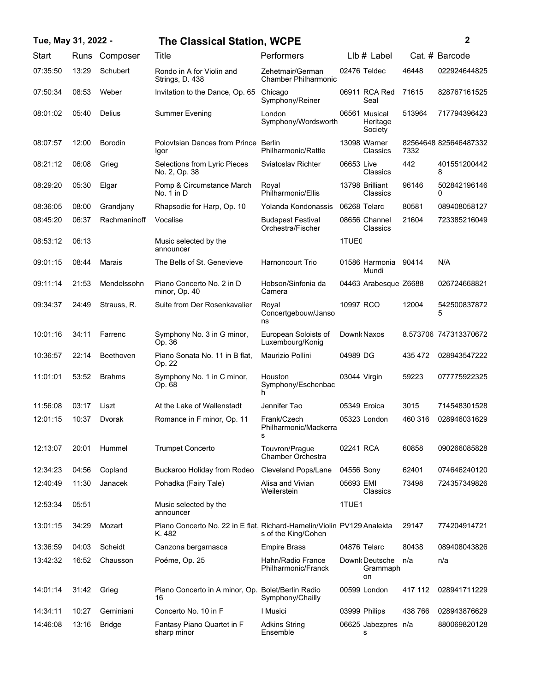| Tue, May 31, 2022 - |  |  |  |  |
|---------------------|--|--|--|--|
|---------------------|--|--|--|--|

## **Tue, May 31, 2022 - 2 The Classical Station, WCPE**

|  |  | i |  |
|--|--|---|--|
|  |  |   |  |
|  |  |   |  |

| Start    | Runs  | Composer       | Title                                                                            | Performers                                      |                   | $Llb#$ Label                         |         | Cat. # Barcode        |
|----------|-------|----------------|----------------------------------------------------------------------------------|-------------------------------------------------|-------------------|--------------------------------------|---------|-----------------------|
| 07:35:50 | 13:29 | Schubert       | Rondo in A for Violin and<br>Strings, D. 438                                     | Zehetmair/German<br><b>Chamber Philharmonic</b> |                   | 02476 Teldec                         | 46448   | 022924644825          |
| 07:50:34 | 08:53 | Weber          | Invitation to the Dance, Op. 65                                                  | Chicago<br>Symphony/Reiner                      |                   | 06911 RCA Red<br>Seal                | 71615   | 828767161525          |
| 08:01:02 | 05:40 | Delius         | <b>Summer Evening</b>                                                            | London<br>Symphony/Wordsworth                   |                   | 06561 Musical<br>Heritage<br>Society | 513964  | 717794396423          |
| 08:07:57 | 12:00 | <b>Borodin</b> | Polovtsian Dances from Prince<br>Igor                                            | Berlin<br>Philharmonic/Rattle                   |                   | 13098 Warner<br>Classics             | 7332    | 82564648 825646487332 |
| 08:21:12 | 06:08 | Grieg          | Selections from Lyric Pieces<br>No. 2, Op. 38                                    | Sviatoslav Richter                              | 06653 Live        | Classics                             | 442     | 401551200442<br>8     |
| 08:29:20 | 05:30 | Elgar          | Pomp & Circumstance March<br>No. $1$ in $D$                                      | Royal<br>Philharmonic/Ellis                     |                   | 13798 Brilliant<br>Classics          | 96146   | 502842196146<br>0     |
| 08:36:05 | 08:00 | Grandjany      | Rhapsodie for Harp, Op. 10                                                       | Yolanda Kondonassis                             |                   | 06268 Telarc                         | 80581   | 089408058127          |
| 08:45:20 | 06:37 | Rachmaninoff   | Vocalise                                                                         | <b>Budapest Festival</b><br>Orchestra/Fischer   |                   | 08656 Channel<br>Classics            | 21604   | 723385216049          |
| 08:53:12 | 06:13 |                | Music selected by the<br>announcer                                               |                                                 | 1TUE <sub>0</sub> |                                      |         |                       |
| 09:01:15 | 08:44 | Marais         | The Bells of St. Genevieve                                                       | Harnoncourt Trio                                |                   | 01586 Harmonia<br>Mundi              | 90414   | N/A                   |
| 09:11:14 | 21:53 | Mendelssohn    | Piano Concerto No. 2 in D<br>minor, Op. 40                                       | Hobson/Sinfonia da<br>Camera                    |                   | 04463 Arabesque Z6688                |         | 026724668821          |
| 09:34:37 | 24:49 | Strauss, R.    | Suite from Der Rosenkavalier                                                     | Royal<br>Concertgebouw/Janso<br>ns              | 10997 RCO         |                                      | 12004   | 542500837872<br>5     |
| 10:01:16 | 34:11 | Farrenc        | Symphony No. 3 in G minor,<br>Op. 36                                             | European Soloists of<br>Luxembourg/Konig        |                   | Downk Naxos                          |         | 8.573706 747313370672 |
| 10:36:57 | 22:14 | Beethoven      | Piano Sonata No. 11 in B flat,<br>Op. 22                                         | Maurizio Pollini                                | 04989 DG          |                                      | 435 472 | 028943547222          |
| 11:01:01 | 53:52 | <b>Brahms</b>  | Symphony No. 1 in C minor,<br>Op. 68                                             | Houston<br>Symphony/Eschenbac<br>h              |                   | 03044 Virgin                         | 59223   | 077775922325          |
| 11:56:08 | 03:17 | Liszt          | At the Lake of Wallenstadt                                                       | Jennifer Tao                                    |                   | 05349 Eroica                         | 3015    | 714548301528          |
| 12:01:15 | 10:37 | Dvorak         | Romance in F minor, Op. 11                                                       | Frank/Czech<br>Philharmonic/Mackerra<br>s       |                   | 05323 London                         | 460 316 | 028946031629          |
| 12:13:07 | 20:01 | Hummel         | <b>Trumpet Concerto</b>                                                          | Touvron/Prague<br>Chamber Orchestra             | 02241 RCA         |                                      | 60858   | 090266085828          |
| 12:34:23 | 04:56 | Copland        | <b>Buckaroo Holiday from Rodeo</b>                                               | <b>Cleveland Pops/Lane</b>                      | 04556 Sony        |                                      | 62401   | 074646240120          |
| 12:40:49 | 11:30 | Janacek        | Pohadka (Fairy Tale)                                                             | Alisa and Vivian<br>Weilerstein                 | 05693 EMI         | Classics                             | 73498   | 724357349826          |
| 12:53:34 | 05:51 |                | Music selected by the<br>announcer                                               |                                                 | 1TUE1             |                                      |         |                       |
| 13:01:15 | 34:29 | Mozart         | Piano Concerto No. 22 in E flat, Richard-Hamelin/Violin PV129 Analekta<br>K. 482 | s of the King/Cohen                             |                   |                                      | 29147   | 774204914721          |
| 13:36:59 | 04:03 | Scheidt        | Canzona bergamasca                                                               | <b>Empire Brass</b>                             |                   | 04876 Telarc                         | 80438   | 089408043826          |
| 13:42:32 | 16:52 | Chausson       | Poéme, Op. 25                                                                    | Hahn/Radio France<br>Philharmonic/Franck        |                   | Downk Deutsche<br>Grammaph<br>on     | n/a     | n/a                   |
| 14:01:14 | 31:42 | Grieg          | Piano Concerto in A minor, Op.<br>16                                             | <b>Bolet/Berlin Radio</b><br>Symphony/Chailly   |                   | 00599 London                         | 417 112 | 028941711229          |
| 14:34:11 | 10:27 | Geminiani      | Concerto No. 10 in F                                                             | I Musici                                        |                   | 03999 Philips                        | 438 766 | 028943876629          |
| 14:46:08 | 13:16 | <b>Bridge</b>  | Fantasy Piano Quartet in F<br>sharp minor                                        | <b>Adkins String</b><br>Ensemble                |                   | 06625 Jabezpres n/a<br>s             |         | 880069820128          |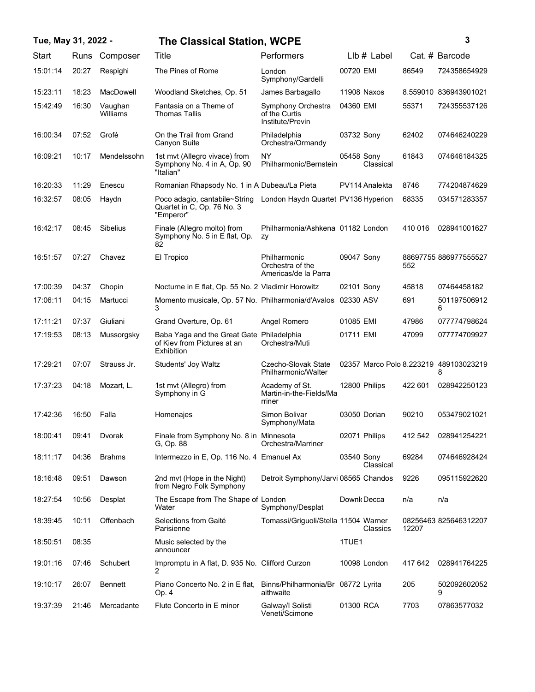| Tue, May 31, 2022 - |       |                     | <b>The Classical Station, WCPE</b>                                                     |                                                          |                                        |         | 3                     |
|---------------------|-------|---------------------|----------------------------------------------------------------------------------------|----------------------------------------------------------|----------------------------------------|---------|-----------------------|
| Start               |       | Runs Composer       | Title                                                                                  | Performers                                               | LIb # Label                            |         | Cat. # Barcode        |
| 15:01:14            | 20:27 | Respighi            | The Pines of Rome                                                                      | London<br>Symphony/Gardelli                              | 00720 EMI                              | 86549   | 724358654929          |
| 15:23:11            | 18:23 | <b>MacDowell</b>    | Woodland Sketches, Op. 51                                                              | James Barbagallo                                         | 11908 Naxos                            |         | 8.559010 836943901021 |
| 15:42:49            | 16:30 | Vaughan<br>Williams | Fantasia on a Theme of<br><b>Thomas Tallis</b>                                         | Symphony Orchestra<br>of the Curtis<br>Institute/Previn  | 04360 EMI                              | 55371   | 724355537126          |
| 16:00:34            | 07:52 | Grofé               | On the Trail from Grand<br>Canyon Suite                                                | Philadelphia<br>Orchestra/Ormandy                        | 03732 Sony                             | 62402   | 074646240229          |
| 16:09:21            | 10:17 | Mendelssohn         | 1st mvt (Allegro vivace) from<br>Symphony No. 4 in A, Op. 90<br>"Italian"              | <b>NY</b><br>Philharmonic/Bernstein                      | 05458 Sony<br>Classical                | 61843   | 074646184325          |
| 16:20:33            | 11:29 | Enescu              | Romanian Rhapsody No. 1 in A Dubeau/La Pieta                                           |                                                          | PV114 Analekta                         | 8746    | 774204874629          |
| 16:32:57            | 08:05 | Haydn               | Poco adagio, cantabile~String<br>Quartet in C, Op. 76 No. 3<br>"Emperor"               | London Haydn Quartet PV136 Hyperion                      |                                        | 68335   | 034571283357          |
| 16:42:17            | 08:45 | <b>Sibelius</b>     | Finale (Allegro molto) from<br>Symphony No. 5 in E flat, Op.<br>82                     | Philharmonia/Ashkena 01182 London<br>zy                  |                                        | 410 016 | 028941001627          |
| 16:51:57            | 07:27 | Chavez              | El Tropico                                                                             | Philharmonic<br>Orchestra of the<br>Americas/de la Parra | 09047 Sony                             | 552     | 88697755 886977555527 |
| 17:00:39            | 04:37 | Chopin              | Nocturne in E flat, Op. 55 No. 2 Vladimir Horowitz                                     |                                                          | 02101 Sony                             | 45818   | 07464458182           |
| 17:06:11            | 04:15 | Martucci            | Momento musicale, Op. 57 No. Philharmonia/d'Avalos<br>3                                |                                                          | 02330 ASV                              | 691     | 501197506912<br>6     |
| 17:11:21            | 07:37 | Giuliani            | Grand Overture, Op. 61                                                                 | Angel Romero                                             | 01085 EMI                              | 47986   | 077774798624          |
| 17:19:53            | 08:13 | Mussorgsky          | Baba Yaga and the Great Gate Philadelphia<br>of Kiev from Pictures at an<br>Exhibition | Orchestra/Muti                                           | 01711 EMI                              | 47099   | 077774709927          |
| 17:29:21            | 07:07 | Strauss Jr.         | Students' Joy Waltz                                                                    | Czecho-Slovak State<br>Philharmonic/Walter               | 02357 Marco Polo 8.223219 489103023219 |         | 8                     |
| 17:37:23            | 04:18 | Mozart, L.          | 1st mvt (Allegro) from<br>Symphony in G                                                | Academy of St.<br>Martin-in-the-Fields/Ma<br>rriner      | 12800 Philips                          | 422 601 | 028942250123          |
| 17:42:36            | 16:50 | Falla               | Homenajes                                                                              | Simon Bolivar<br>Symphony/Mata                           | 03050 Dorian                           | 90210   | 053479021021          |
| 18:00:41            | 09:41 | Dvorak              | Finale from Symphony No. 8 in Minnesota<br>G, Op. 88                                   | Orchestra/Marriner                                       | 02071 Philips                          | 412 542 | 028941254221          |
| 18:11:17            | 04:36 | <b>Brahms</b>       | Intermezzo in E, Op. 116 No. 4 Emanuel Ax                                              |                                                          | 03540 Sony<br>Classical                | 69284   | 074646928424          |
| 18:16:48            | 09:51 | Dawson              | 2nd myt (Hope in the Night)<br>from Negro Folk Symphony                                | Detroit Symphony/Jarvi 08565 Chandos                     |                                        | 9226    | 095115922620          |
| 18:27:54            | 10:56 | Desplat             | The Escape from The Shape of London<br>Water                                           | Symphony/Desplat                                         | Downk Decca                            | n/a     | n/a                   |
| 18:39:45            | 10:11 | Offenbach           | Selections from Gaité<br>Parisienne                                                    | Tomassi/Griguoli/Stella 11504 Warner                     | Classics                               | 12207   | 08256463 825646312207 |
| 18:50:51            | 08:35 |                     | Music selected by the<br>announcer                                                     |                                                          | 1TUE1                                  |         |                       |
| 19:01:16            | 07:46 | Schubert            | Impromptu in A flat, D. 935 No. Clifford Curzon<br>2                                   |                                                          | 10098 London                           | 417 642 | 028941764225          |
| 19:10:17            | 26:07 | <b>Bennett</b>      | Piano Concerto No. 2 in E flat,<br>Op. 4                                               | Binns/Philharmonia/Br 08772 Lyrita<br>aithwaite          |                                        | 205     | 502092602052<br>9     |
| 19:37:39            | 21:46 | Mercadante          | Flute Concerto in E minor                                                              | Galway/I Solisti<br>Veneti/Scimone                       | 01300 RCA                              | 7703    | 07863577032           |